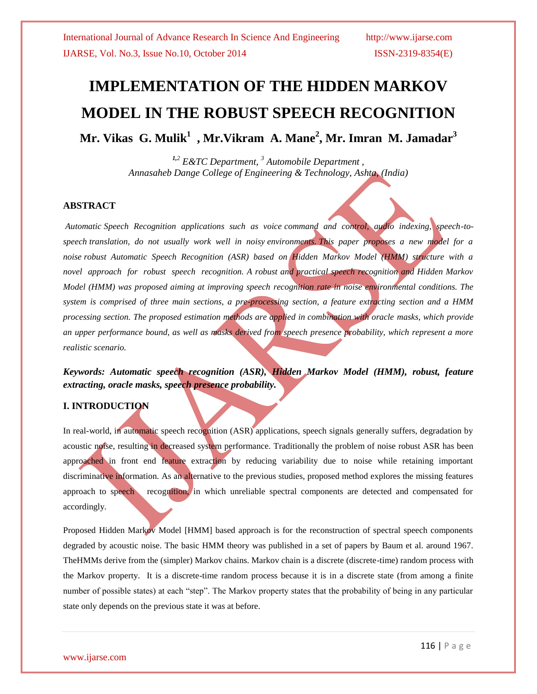# **IMPLEMENTATION OF THE HIDDEN MARKOV MODEL IN THE ROBUST SPEECH RECOGNITION**

**Mr. Vikas G. Mulik<sup>1</sup> , Mr.Vikram A. Mane<sup>2</sup> , Mr. Imran M. Jamadar<sup>3</sup>**

*1,<sup>2</sup> E&TC Department, <sup>3</sup> Automobile Department , Annasaheb Dange College of Engineering & Technology, Ashta, (India)*

### **ABSTRACT**

*Automatic Speech Recognition applications such as voice command and control, audio indexing, speech-tospeech translation, do not usually work well in noisy environments. This paper proposes a new model for a noise robust Automatic Speech Recognition (ASR) based on Hidden Markov Model (HMM) structure with a novel approach for robust speech recognition. A robust and practical speech recognition and Hidden Markov Model (HMM) was proposed aiming at improving speech recognition rate in noise environmental conditions. The system is comprised of three main sections, a pre-processing section, a feature extracting section and a HMM processing section. The proposed estimation methods are applied in combination with oracle masks, which provide an upper performance bound, as well as masks derived from speech presence probability, which represent a more realistic scenario.*

*Keywords: Automatic speech recognition (ASR), Hidden Markov Model (HMM), robust, feature extracting, oracle masks, speech presence probability.*

# **I. INTRODUCTION**

In real-world, in automatic speech recognition (ASR) applications, speech signals generally suffers, degradation by acoustic noise, resulting in decreased system performance. Traditionally the problem of noise robust ASR has been approached in front end feature extraction by reducing variability due to noise while retaining important discriminative information. As an alternative to the previous studies, proposed method explores the missing features approach to speech recognition, in which unreliable spectral components are detected and compensated for accordingly.

Proposed Hidden Markov Model [HMM] based approach is for the reconstruction of spectral speech components degraded by acoustic noise. The basic HMM theory was published in a set of papers by Baum et al. around 1967. TheHMMs derive from the (simpler) Markov chains. Markov chain is a discrete (discrete-time) random process with the Markov property. It is a discrete-time random process because it is in a discrete state (from among a finite number of possible states) at each "step". The Markov property states that the probability of being in any particular state only depends on the previous state it was at before.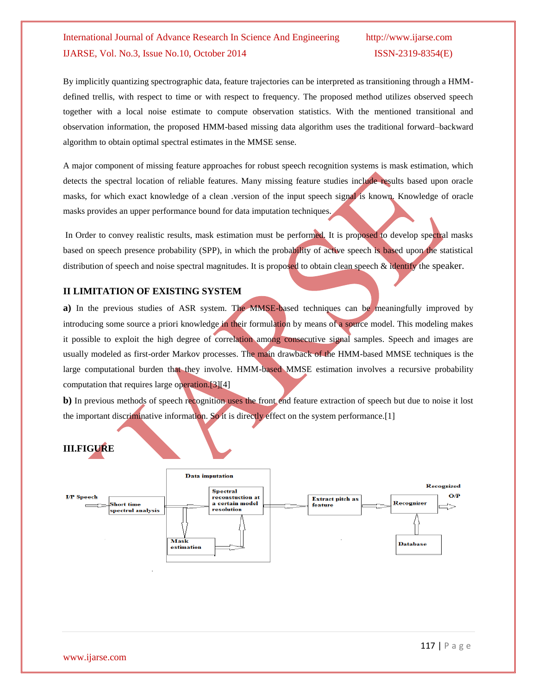# International Journal of Advance Research In Science And Engineering http://www.ijarse.com IJARSE, Vol. No.3, Issue No.10, October 2014 ISSN-2319-8354(E)

By implicitly quantizing spectrographic data, feature trajectories can be interpreted as transitioning through a HMMdefined trellis, with respect to time or with respect to frequency. The proposed method utilizes observed speech together with a local noise estimate to compute observation statistics. With the mentioned transitional and observation information, the proposed HMM-based missing data algorithm uses the traditional forward–backward algorithm to obtain optimal spectral estimates in the MMSE sense.

A major component of missing feature approaches for robust speech recognition systems is mask estimation, which detects the spectral location of reliable features. Many missing feature studies include results based upon oracle masks, for which exact knowledge of a clean .version of the input speech signal is known. Knowledge of oracle masks provides an upper performance bound for data imputation techniques.

In Order to convey realistic results, mask estimation must be performed. It is proposed to develop spectral masks based on speech presence probability (SPP), in which the probability of active speech is based upon the statistical distribution of speech and noise spectral magnitudes. It is proposed to obtain clean speech & identify the speaker.

# **II LIMITATION OF EXISTING SYSTEM**

**a)** In the previous studies of ASR system. The MMSE-based techniques can be meaningfully improved by introducing some source a priori knowledge in their formulation by means of a source model. This modeling makes it possible to exploit the high degree of correlation among consecutive signal samples. Speech and images are usually modeled as first-order Markov processes. The main drawback of the HMM-based MMSE techniques is the large computational burden that they involve. HMM-based MMSE estimation involves a recursive probability computation that requires large operation.[3][4]

**b**) In previous methods of speech recognition uses the front end feature extraction of speech but due to noise it lost the important discriminative information. So it is directly effect on the system performance.[1]

# **III.FIGURE**